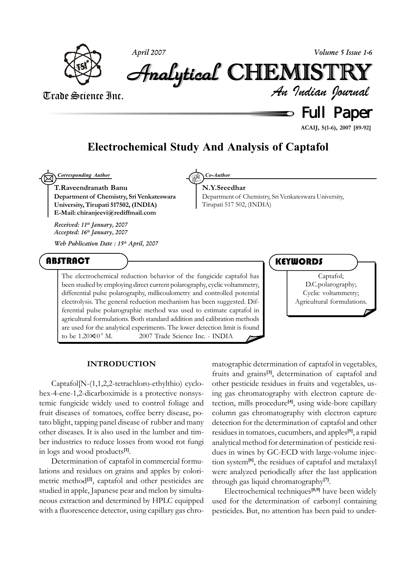

*April 2007 Volume 5 Issue 1-6*

Analytical Analytical Analytical Analytical Analytical Analytical CHEMISTR CHEMISTR HEMISTR HEMISTRYY

### Trade Science Inc.

*An Indian Journal*

# $\Rightarrow$  Full Paper

**ACAIJ, 5(1-6), 2007 [89-92]**

## **Electrochemical Study And Analysis of Captafol**

⊠ *Corresponding Author Co-Author*

**T.Raveendranath Banu Department of Chemistry, Sri Venkateswara University, Tirupati 517502, (INDIA) E-Mail: chiranjeevi@rediffmail.com**

#### **N.Y.Sreedhar**

Department of Chemistry, Sri Venkateswara University, Tirupati 517 502, (INDIA)

*Received: 11th January, 2007 Accepted: 16th January, 2007*

*Web Publication Date : 15th April, 2007*

### ABSTRACT

The electrochemical reduction behavior of the fungicide captafol has been studied by employing direct current polarography, cyclic voltammetry, differential pulse polarography, millicoulometry and controlled potential electrolysis. The general reduction mechanism has been suggested. Differential pulse polarographic method was used to estimate captafol in agricultural formulations. Both standard addition and calibration methods are used for the analytical experiments. The lower detection limit is found to be  $1.20 \times 10^{-9}$  M.  $\circ$  2007 Trade Science Inc. - INDIA

### **KEYWORDS**

Captafol; D.C.polarography; Cyclic voltammetry; Agricultural formulations.

#### **INTRODUCTION**

Captafol[N-(1,1,2,2-tetrachloro-ethylthio) cyclohex-4-ene-1,2-dicarboximide is a protective nonsystemic fungicide widely used to control foliage and fruit diseases of tomatoes, coffee berry disease, potato blight, tapping panel disease of rubber and many other diseases. It is also used in the lumber and timber industries to reduce losses from wood rot fungi in logs and wood products**[1]**.

Determination of captafol in commercial formulations and residues on grains and apples by colorimetric method**[2]**, captafol and other pesticides are studied in apple, Japanese pear and melon by simultaneous extraction and determined by HPLC equipped with a fluorescence detector, using capillary gas chromatographic determination of captafol in vegetables, fruits and grains**[3]**, determination of captafol and other pesticide residues in fruits and vegetables, using gas chromatography with electron capture detection, mills procedure**[4]**, using wide-bore capillary column gas chromatography with electron capture detection for the determination of captafol and other residues in tomatoes, cucumbers, and apples**[5]**, a rapid analytical method for determination of pesticide residues in wines by GC-ECD with large-volume injection system**[6]**, the residues of captafol and metalaxyl were analyzed periodically after the last application through gas liquid chromatography**[7]**.

Electrochemical techniques**[8,9]** have been widely used for the determination of carbonyl containing pesticides. But, no attention has been paid to under-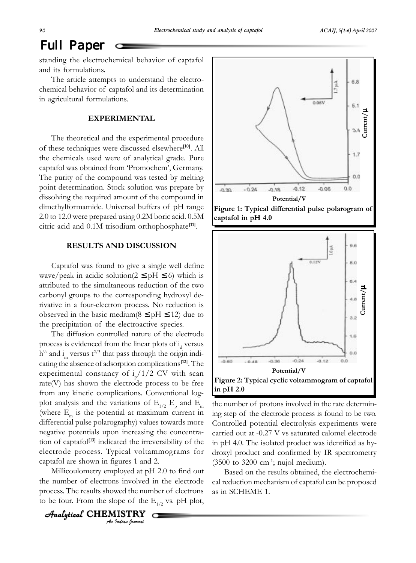# Full Paper

standing the electrochemical behavior of captafol and its formulations.

The article attempts to understand the electrochemical behavior of captafol and its determination in agricultural formulations.

#### **EXPERIMENTAL**

The theoretical and the experimental procedure of these techniques were discussed elsewhere**[10]**. All the chemicals used were of analytical grade. Pure captafol was obtained from 'Promochem', Germany. The purity of the compound was tested by melting point determination. Stock solution was prepare by dissolving the required amount of the compound in dimethylformamide. Universal buffers of pH range 2.0 to 12.0 were prepared using 0.2M boric acid. 0.5M citric acid and 0.1M trisodium orthophosphate**[11]**.

#### **RESULTS AND DISCUSSION**

Captafol was found to give a single well define wave/peak in acidic solution( $2 \leq pH \leq 6$ ) which is attributed to the simultaneous reduction of the two carbonyl groups to the corresponding hydroxyl derivative in a four-electron process. No reduction is observed in the basic medium( $8 \leq pH \leq 12$ ) due to the precipitation of the electroactive species.

The diffusion controlled nature of the electrode process is evidenced from the linear plots of  $i_d$  versus  $h^{\frac{1}{2}}$  and i<sub>n</sub> versus t<sup>2/3</sup> that pass through the origin indicating the absence of adsorption complications**[12]**. The experimental constancy of  $i_p/1/2$  CV with scan rate(V) has shown the electrode process to be free from any kinetic complications. Conventional logplot analysis and the variations of  $E_{1/2}$   $E_{\rho}$  and  $E_{\rho}$ (where  $E_m$  is the potential at maximum current in differential pulse polarography) values towards more negative potentials upon increasing the concentration of captafol**[13]** indicated the irreversibility of the electrode process. Typical voltammograms for captafol are shown in figures 1 and 2.

Millicoulometry employed at pH 2.0 to find out the number of electrons involved in the electrode process. The results showed the number of electrons to be four. From the slope of the  $E_{1/2}$  vs. pH plot,

O

*An Indian Journal* Analytical  $\,$  <code>CHEMISTRY</code>





the number of protons involved in the rate determining step of the electrode process is found to be two. Controlled potential electrolysis experiments were carried out at -0.27 V vs saturated calomel electrode in pH 4.0. The isolated product was identified as hydroxyl product and confirmed by IR spectrometry  $(3500 \text{ to } 3200 \text{ cm}^{-1})$ ; nujol medium).

Based on the results obtained, the electrochemical reduction mechanism of captafol can be proposed as in SCHEME 1.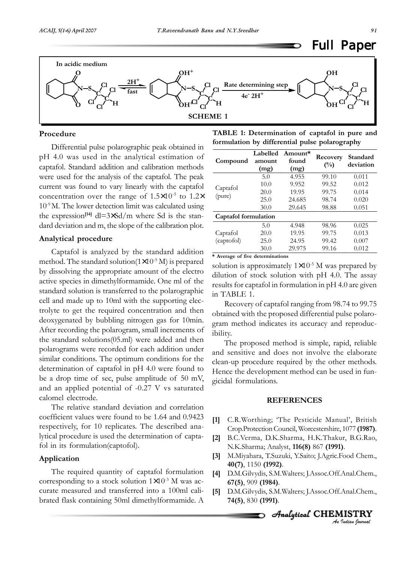

#### **Procedure**

Differential pulse polarographic peak obtained in pH 4.0 was used in the analytical estimation of captafol. Standard addition and calibration methods were used for the analysis of the captafol. The peak current was found to vary linearly with the captafol concentration over the range of  $1.5 \times 10^{-5}$  to  $1.2 \times$ 10-9 M. The lower detection limit was calculated using the expression<sup>[14]</sup> dl=3×Sd/m where Sd is the standard deviation and m, the slope of the calibration plot.

#### **Analytical procedure**

Captafol is analyzed by the standard addition method. The standard solution( $1\times10^{-5}$  M) is prepared by dissolving the appropriate amount of the electro active species in dimethylformamide. One ml of the standard solution is transferred to the polarographic cell and made up to 10ml with the supporting electrolyte to get the required concentration and then deoxygenated by bubbling nitrogen gas for 10min. After recording the polarogram, small increments of the standard solutions(05.ml) were added and then polarograms were recorded for each addition under similar conditions. The optimum conditions for the determination of captafol in pH 4.0 were found to be a drop time of sec, pulse amplitude of 50 mV, and an applied potential of -0.27 V vs saturated calomel electrode.

The relative standard deviation and correlation coefficient values were found to be 1.64 and 0.9423 respectively, for 10 replicates. The described analytical procedure is used the determination of captafol in its formulation(captofol).

#### **Application**

The required quantity of captafol formulation corresponding to a stock solution  $1 \times 10^{-3}$  M was accurate measured and transferred into a 100ml calibrated flask containing 50ml dimethylformamide. A

| TABLE 1: Determination of captafol in pure and |  |
|------------------------------------------------|--|
| formulation by differential pulse polarography |  |

| Compound               | Labelled<br>amount<br>(mg) | Amount*<br>found<br>(mg) | Recovery<br>$(\%)$ | Standard<br>deviation |  |
|------------------------|----------------------------|--------------------------|--------------------|-----------------------|--|
| Captafol<br>(pure)     | 5.0                        | 4.955                    | 99.10              | 0.011                 |  |
|                        | 10.0                       | 9.952                    | 99.52              | 0.012                 |  |
|                        | 20.0                       | 19.95                    | 99.75              | 0.014                 |  |
|                        | 25.0                       | 24.685                   | 98.74              | 0.020                 |  |
|                        | 30.0                       | 29.645                   | 98.88              | 0.051                 |  |
| Captafol formulation   |                            |                          |                    |                       |  |
| Captafol<br>(captofol) | 5.0                        | 4.948                    | 98.96              | 0.025                 |  |
|                        | 20.0                       | 19.95                    | 99.75              | 0.013                 |  |
|                        | 25.0                       | 24.95                    | 99.42              | 0.007                 |  |
|                        | 30.0                       | 29.975                   | 99.16              | 0.012                 |  |

**\* Average of five determinations**

solution is approximately  $1 \times 10^{-5}$  M was prepared by dilution of stock solution with pH 4.0. The assay results for captafol in formulation in pH 4.0 are given in TABLE 1.

Recovery of captafol ranging from 98.74 to 99.75 obtained with the proposed differential pulse polarogram method indicates its accuracy and reproducibility.

The proposed method is simple, rapid, reliable and sensitive and does not involve the elaborate clean-up procedure required by the other methods. Hence the development method can be used in fungicidal formulations.

#### **REFERENCES**

- **[1]** C.R.Worthing; 'The Pesticide Manual', British Crop.Protection Council, Worcestershire, 1077 **(1987)**.
- **[2]** B.C.Verma, D.K.Sharma, H.K.Thakur, B.G.Rao, N.K.Sharma; Analyst, **116(8)** 867 **(1991)**.
- **[3]** M.Miyahara, T.Suzuki, Y.Saito; J.Agric.Food Chem., **40(7)**, 1150 **(1992)**.
- **[4]** D.M.Gilvydis, S.M.Walters; J.Assoc.Off.Anal.Chem., **67(5)**, 909 **(1984)**.
- **[5]** D.M.Gilvydis, S.M.Walters; J.Assoc.Off.Anal.Chem., **74(5)**, 830 **(1991)**.